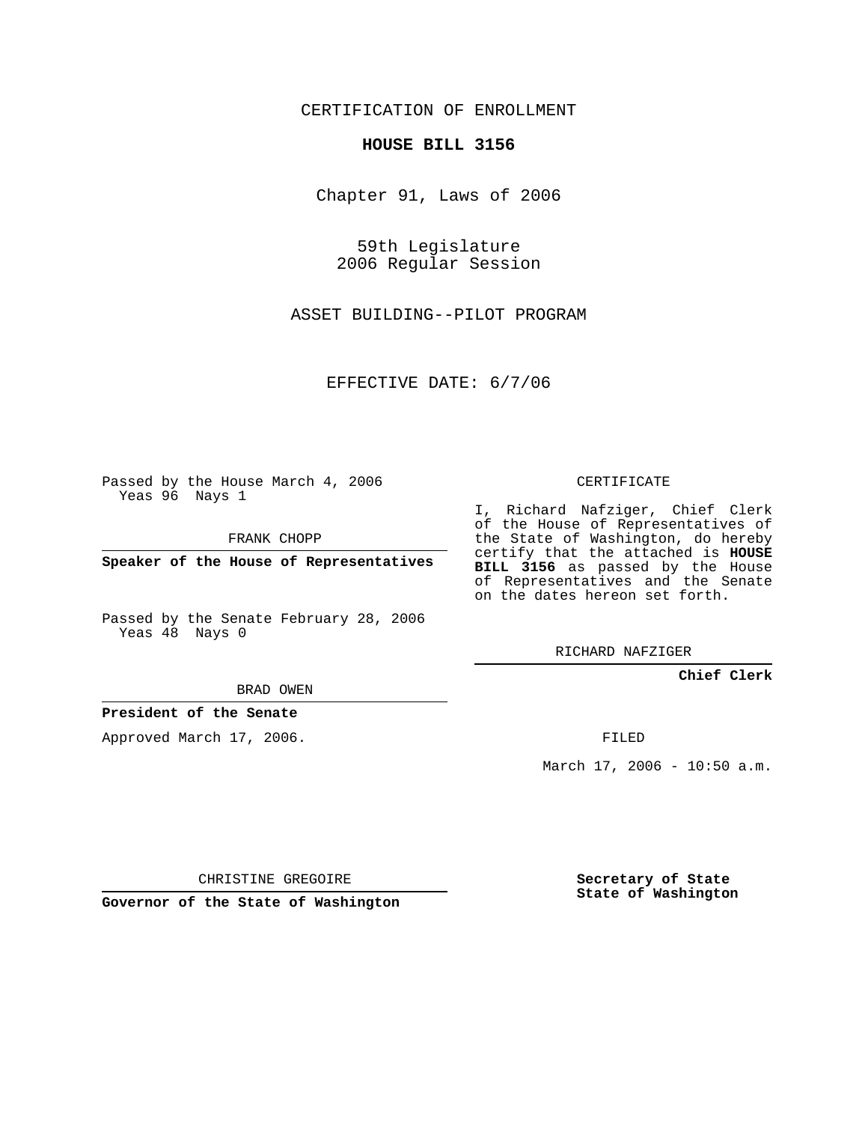CERTIFICATION OF ENROLLMENT

### **HOUSE BILL 3156**

Chapter 91, Laws of 2006

59th Legislature 2006 Regular Session

ASSET BUILDING--PILOT PROGRAM

EFFECTIVE DATE: 6/7/06

Passed by the House March 4, 2006 Yeas 96 Nays 1

FRANK CHOPP

**Speaker of the House of Representatives**

Passed by the Senate February 28, 2006 Yeas 48 Nays 0

RICHARD NAFZIGER

**Chief Clerk**

BRAD OWEN

## **President of the Senate**

Approved March 17, 2006.

FILED

March 17, 2006 - 10:50 a.m.

CHRISTINE GREGOIRE

**Governor of the State of Washington**

**Secretary of State State of Washington**

## CERTIFICATE

I, Richard Nafziger, Chief Clerk of the House of Representatives of the State of Washington, do hereby certify that the attached is **HOUSE BILL 3156** as passed by the House of Representatives and the Senate on the dates hereon set forth.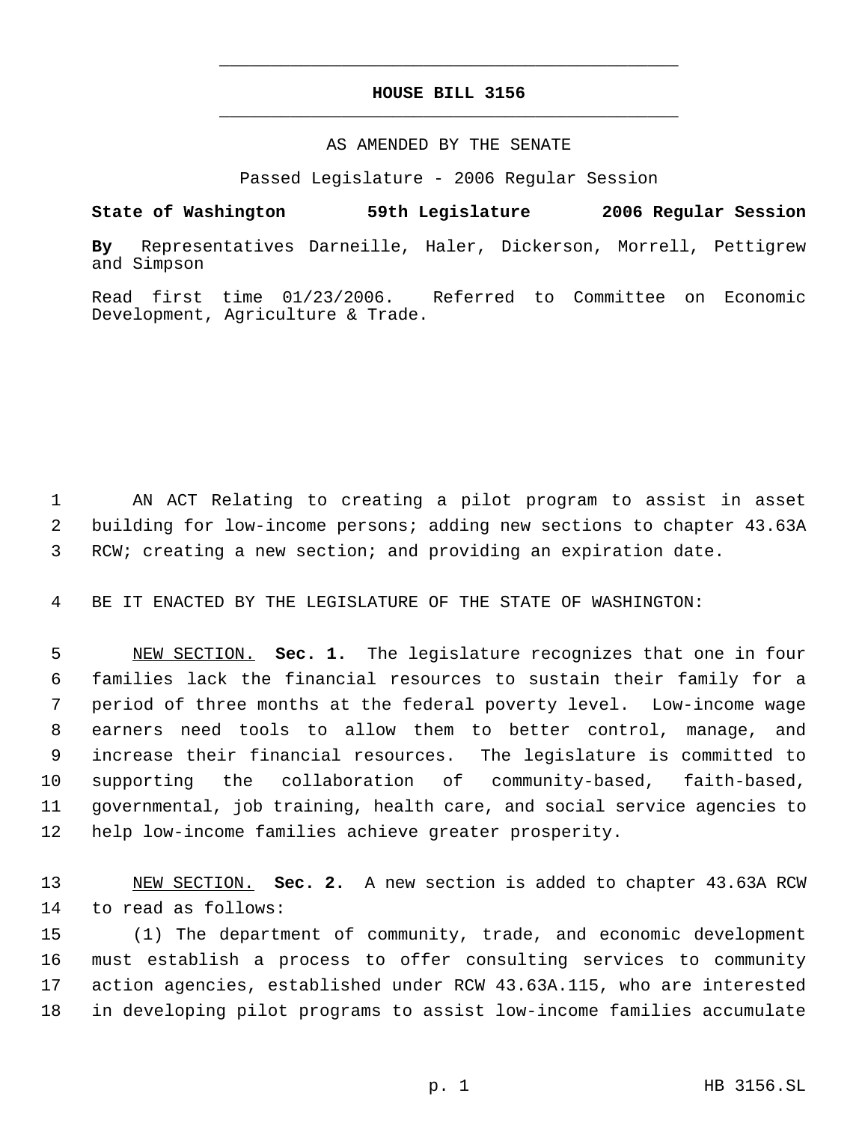# **HOUSE BILL 3156** \_\_\_\_\_\_\_\_\_\_\_\_\_\_\_\_\_\_\_\_\_\_\_\_\_\_\_\_\_\_\_\_\_\_\_\_\_\_\_\_\_\_\_\_\_

\_\_\_\_\_\_\_\_\_\_\_\_\_\_\_\_\_\_\_\_\_\_\_\_\_\_\_\_\_\_\_\_\_\_\_\_\_\_\_\_\_\_\_\_\_

### AS AMENDED BY THE SENATE

Passed Legislature - 2006 Regular Session

**State of Washington 59th Legislature 2006 Regular Session**

**By** Representatives Darneille, Haler, Dickerson, Morrell, Pettigrew and Simpson

Read first time 01/23/2006. Referred to Committee on Economic Development, Agriculture & Trade.

 AN ACT Relating to creating a pilot program to assist in asset building for low-income persons; adding new sections to chapter 43.63A RCW; creating a new section; and providing an expiration date.

BE IT ENACTED BY THE LEGISLATURE OF THE STATE OF WASHINGTON:

 NEW SECTION. **Sec. 1.** The legislature recognizes that one in four families lack the financial resources to sustain their family for a period of three months at the federal poverty level. Low-income wage earners need tools to allow them to better control, manage, and increase their financial resources. The legislature is committed to supporting the collaboration of community-based, faith-based, governmental, job training, health care, and social service agencies to help low-income families achieve greater prosperity.

 NEW SECTION. **Sec. 2.** A new section is added to chapter 43.63A RCW to read as follows:

 (1) The department of community, trade, and economic development must establish a process to offer consulting services to community action agencies, established under RCW 43.63A.115, who are interested in developing pilot programs to assist low-income families accumulate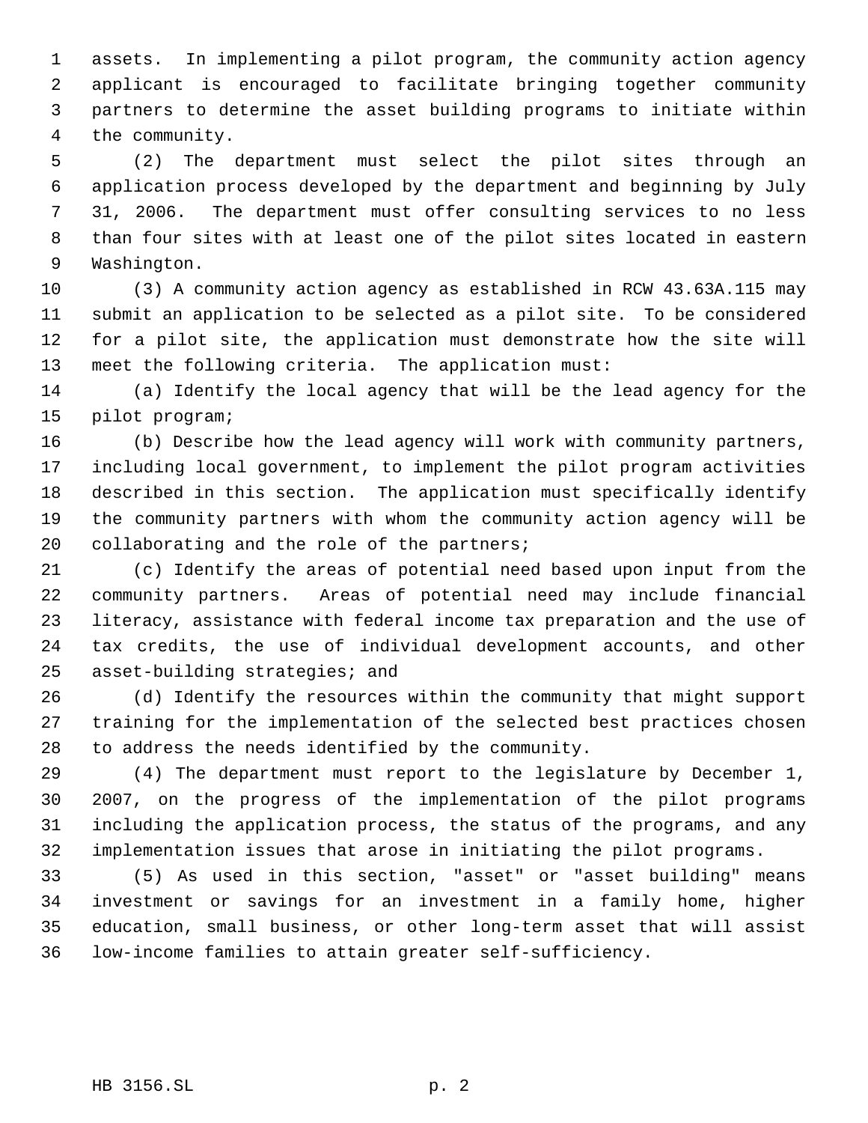assets. In implementing a pilot program, the community action agency applicant is encouraged to facilitate bringing together community partners to determine the asset building programs to initiate within the community.

 (2) The department must select the pilot sites through an application process developed by the department and beginning by July 31, 2006. The department must offer consulting services to no less than four sites with at least one of the pilot sites located in eastern Washington.

 (3) A community action agency as established in RCW 43.63A.115 may submit an application to be selected as a pilot site. To be considered for a pilot site, the application must demonstrate how the site will meet the following criteria. The application must:

 (a) Identify the local agency that will be the lead agency for the pilot program;

 (b) Describe how the lead agency will work with community partners, including local government, to implement the pilot program activities described in this section. The application must specifically identify the community partners with whom the community action agency will be 20 collaborating and the role of the partners;

 (c) Identify the areas of potential need based upon input from the community partners. Areas of potential need may include financial literacy, assistance with federal income tax preparation and the use of tax credits, the use of individual development accounts, and other asset-building strategies; and

 (d) Identify the resources within the community that might support training for the implementation of the selected best practices chosen to address the needs identified by the community.

 (4) The department must report to the legislature by December 1, 2007, on the progress of the implementation of the pilot programs including the application process, the status of the programs, and any implementation issues that arose in initiating the pilot programs.

 (5) As used in this section, "asset" or "asset building" means investment or savings for an investment in a family home, higher education, small business, or other long-term asset that will assist low-income families to attain greater self-sufficiency.